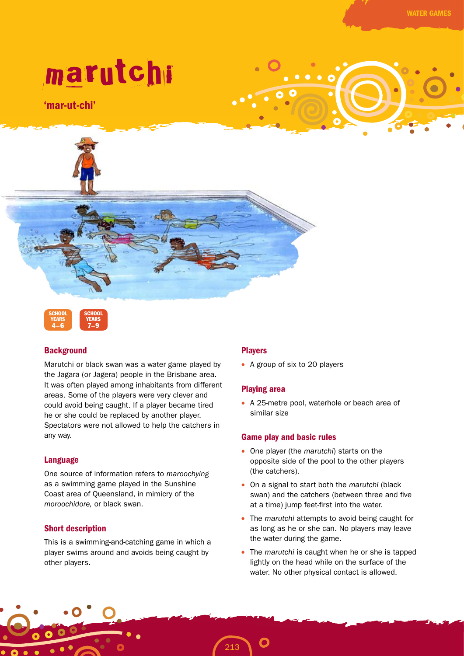# marutchi

'mar-ut-chi'





# **Background**

Marutchi or black swan was a water game played by the Jagara (or Jagera) people in the Brisbane area. It was often played among inhabitants from different areas. Some of the players were very clever and could avoid being caught. If a player became tired he or she could be replaced by another player. Spectators were not allowed to help the catchers in any way.

# Language

One source of information refers to *maroochying* as a swimming game played in the Sunshine Coast area of Queensland, in mimicry of the *moroochidore,* or black swan.

# Short description

This is a swimming-and-catching game in which a player swims around and avoids being caught by other players.

# Players

213

• A group of six to 20 players

## Playing area

• A 25-metre pool, waterhole or beach area of similar size

## Game play and basic rules

- One player (the *marutchi*) starts on the opposite side of the pool to the other players (the catchers).
- On a signal to start both the *marutchi* (black swan) and the catchers (between three and five at a time) jump feet-first into the water.
- The *marutchi* attempts to avoid being caught for as long as he or she can. No players may leave the water during the game.
- The *marutchi* is caught when he or she is tapped lightly on the head while on the surface of the water. No other physical contact is allowed.